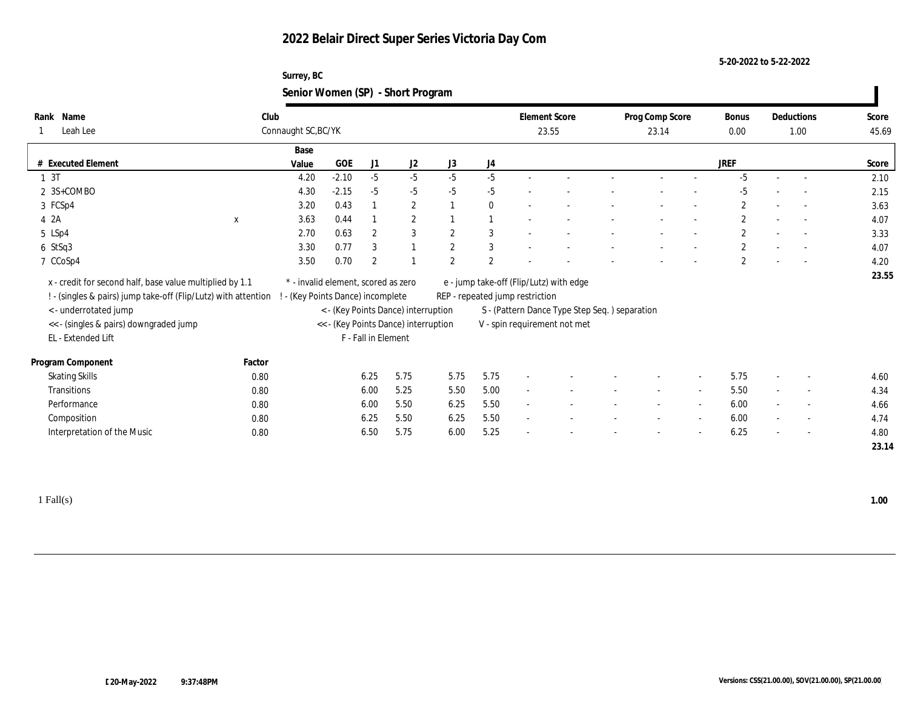#### **5-20-2022 to 5-22-2022**

### **Surrey, BC Senior Women (SP) - Short Program**

| Name<br>Rank                                                   | Club   |                                     |                               |                       |                                      |                |              |                                 | <b>Element Score</b>                          | Prog Comp Score          |                          | Bonus                 |                          | Deductions               | Score |
|----------------------------------------------------------------|--------|-------------------------------------|-------------------------------|-----------------------|--------------------------------------|----------------|--------------|---------------------------------|-----------------------------------------------|--------------------------|--------------------------|-----------------------|--------------------------|--------------------------|-------|
| Leah Lee                                                       |        | Connaught SC, BC/YK                 |                               |                       |                                      | $0.00\,$       | 1.00         |                                 | 45.69                                         |                          |                          |                       |                          |                          |       |
|                                                                |        | Base                                |                               |                       |                                      |                |              |                                 |                                               |                          |                          |                       |                          |                          |       |
| # Executed Element                                             |        | Value                               | <b>GOE</b>                    | J1                    | J2                                   | J3             | J4           |                                 |                                               |                          |                          | <b>JREF</b>           |                          |                          | Score |
| 1 <sub>3T</sub>                                                |        | 4.20                                | $-2.10$                       | $-5$                  | $-5$                                 | $-5$           | $-5$         |                                 |                                               |                          |                          | $-5$                  | $\sim$                   | $\overline{\phantom{a}}$ | 2.10  |
| 2 3S+COMBO                                                     |        | 4.30                                | $-2.15$                       | $-5$                  | $-5$                                 | $-5$           | $-5$         | $\overline{\phantom{a}}$        |                                               |                          |                          | $-5$                  |                          | $\overline{\phantom{a}}$ | 2.15  |
| 3 FCSp4                                                        |        | 3.20                                | 0.43                          |                       | $\mathbf{2}$                         |                | $\bf{0}$     |                                 |                                               |                          |                          | $\mathbf{2}$          |                          | $\sim$                   | 3.63  |
| 4 2A                                                           | X      | 3.63                                | 0.44                          |                       | $\mathbf{2}$                         |                |              |                                 |                                               |                          |                          | $\mathbf{2}$          |                          | $\sim$                   | 4.07  |
| 5 LSp4                                                         |        | 2.70                                | 0.63                          | $\boldsymbol{2}$      | 3                                    | $\overline{2}$ | 3            | $\overline{\phantom{a}}$        |                                               | $\overline{\phantom{a}}$ |                          | $\mathbf{2}$          | $\overline{\phantom{a}}$ | $\overline{\phantom{a}}$ | 3.33  |
| $6$ StSq3                                                      |        | 3.30                                | 0.77                          | 3                     |                                      | $\overline{2}$ | $\mathbf{3}$ | $\sim$                          |                                               |                          |                          | $\mathbf{2}$          |                          | $\overline{\phantom{a}}$ | 4.07  |
| 7 CCoSp4                                                       |        | 3.50                                | 0.70                          | $\mathbf{2}^{\prime}$ |                                      | $\overline{2}$ | 2            |                                 |                                               | $\blacksquare$           | $\overline{\phantom{a}}$ | $\mathbf{2}^{\prime}$ |                          | $\sim$                   | 4.20  |
| x - credit for second half, base value multiplied by 1.1       |        | * - invalid element, scored as zero |                               |                       |                                      |                |              |                                 | e - jump take-off (Flip/Lutz) with edge       |                          |                          |                       |                          |                          | 23.55 |
| ! - (singles & pairs) jump take-off (Flip/Lutz) with attention |        |                                     | (Key Points Dance) incomplete |                       |                                      |                |              | REP - repeated jump restriction |                                               |                          |                          |                       |                          |                          |       |
| < - underrotated jump                                          |        |                                     |                               |                       | < - (Key Points Dance) interruption  |                |              |                                 | S - (Pattern Dance Type Step Seq.) separation |                          |                          |                       |                          |                          |       |
| << - (singles & pairs) downgraded jump                         |        |                                     |                               |                       | << - (Key Points Dance) interruption |                |              |                                 | V - spin requirement not met                  |                          |                          |                       |                          |                          |       |
| EL - Extended Lift                                             |        |                                     |                               | F - Fall in Element   |                                      |                |              |                                 |                                               |                          |                          |                       |                          |                          |       |
|                                                                |        |                                     |                               |                       |                                      |                |              |                                 |                                               |                          |                          |                       |                          |                          |       |
| Program Component                                              | Factor |                                     |                               |                       |                                      |                |              |                                 |                                               |                          |                          |                       |                          |                          |       |
| <b>Skating Skills</b>                                          | 0.80   |                                     |                               | 6.25                  | 5.75                                 | 5.75           | 5.75         |                                 |                                               |                          | $\overline{\phantom{a}}$ | 5.75                  |                          | $\overline{\phantom{a}}$ | 4.60  |
| Transitions                                                    | 0.80   |                                     |                               | 6.00                  | 5.25                                 | 5.50           | 5.00         |                                 |                                               |                          |                          | 5.50                  |                          | $\sim$                   | 4.34  |
| Performance                                                    | 0.80   |                                     |                               | 6.00                  | 5.50                                 | 6.25           | 5.50         | $\sim$                          |                                               | $\sim$                   | $\sim$                   | 6.00                  | $\sim$                   | $\sim$                   | 4.66  |
| Composition                                                    | 0.80   |                                     |                               | 6.25                  | 5.50                                 | 6.25           | 5.50         | $\sim$                          |                                               |                          |                          | 6.00                  |                          | $\overline{\phantom{a}}$ | 4.74  |
| Interpretation of the Music                                    | 0.80   |                                     |                               | 6.50                  | 5.75                                 | 6.00           | 5.25         |                                 |                                               |                          | $\overline{\phantom{a}}$ | 6.25                  |                          | $\overline{\phantom{a}}$ | 4.80  |
|                                                                |        |                                     |                               |                       |                                      |                |              |                                 |                                               |                          |                          |                       |                          |                          | 23.14 |

1 Fall(s) **1.00**

 $\blacksquare$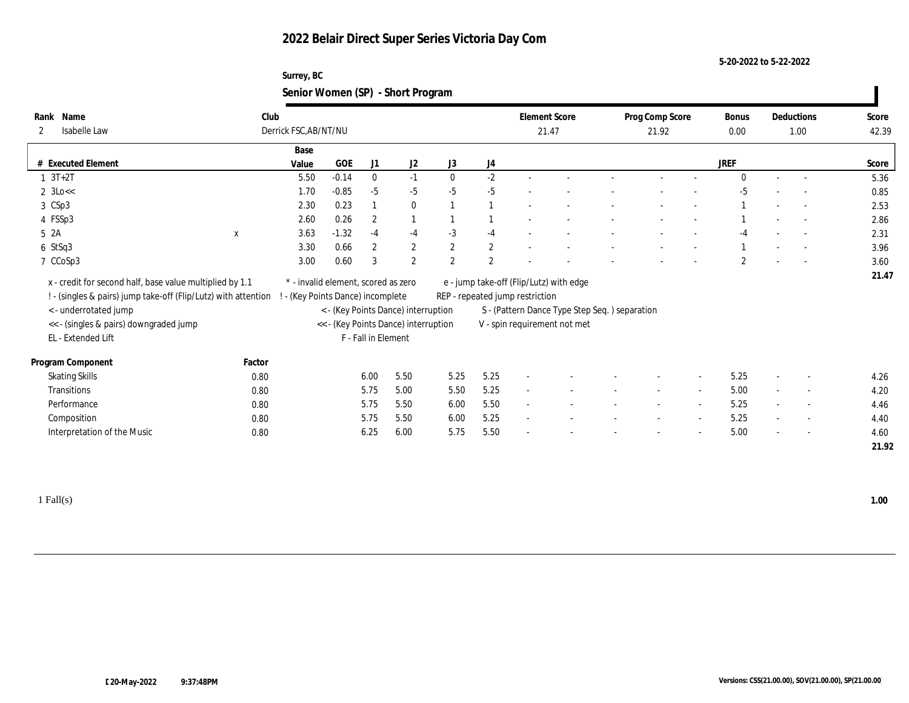### **Surrey, BC Senior Women (SP) - Short Program**

| Name<br>Rank                                                     | Club         |                                     |         |                     |                                      |              |              | <b>Element Score</b>            |                                               | Prog Comp Score          |                          | Bonus          |        | Deductions               | Score |
|------------------------------------------------------------------|--------------|-------------------------------------|---------|---------------------|--------------------------------------|--------------|--------------|---------------------------------|-----------------------------------------------|--------------------------|--------------------------|----------------|--------|--------------------------|-------|
| Isabelle Law<br>$\mathbf{2}$                                     |              | Derrick FSC, AB/NT/NU               |         |                     |                                      |              | 21.47        |                                 |                                               | 21.92                    |                          |                | 1.00   |                          | 42.39 |
|                                                                  |              | Base                                |         |                     |                                      |              |              |                                 |                                               |                          |                          |                |        |                          |       |
| # Executed Element                                               |              | Value                               | GOE     | J1                  | J2                                   | J3           | J4           |                                 |                                               |                          |                          | <b>JREF</b>    |        |                          | Score |
| $1 \t3T+2T$                                                      |              | 5.50                                | $-0.14$ | $\bf{0}$            | $-1$                                 | $\mathbf{0}$ | $-2$         |                                 |                                               |                          |                          | $\Omega$       |        | $\sim$                   | 5.36  |
| $2 \text{ } 3 \text{Lo} <<$                                      |              | 1.70                                | $-0.85$ | $-5$                | $-5$                                 | $-5$         | $-5$         |                                 |                                               |                          |                          | $-5$           |        |                          | 0.85  |
| 3 CSp3                                                           |              | 2.30                                | 0.23    | -1                  | $\bf{0}$                             |              |              |                                 |                                               |                          |                          |                |        | $\sim$                   | 2.53  |
| 4 FSSp3                                                          |              | 2.60                                | 0.26    | $\mathbf{2}$        | $\mathbf{1}$                         |              |              |                                 |                                               |                          |                          |                |        |                          | 2.86  |
| 52A                                                              | $\mathbf{x}$ | 3.63                                | $-1.32$ | $-4$                | $-4$                                 | $-3$         | $-4$         |                                 |                                               |                          |                          | $-4$           |        |                          | 2.31  |
| $6$ StSq3                                                        |              | 3.30                                | 0.66    | $\mathbf{2}$        | $\sqrt{2}$                           | $\mathbf{2}$ | $\mathbf{2}$ |                                 |                                               |                          |                          |                |        |                          | 3.96  |
| 7 CCoSp3                                                         |              | 3.00                                | 0.60    | 3                   | $\mathbf{2}$                         | 2            | $\mathbf{2}$ |                                 |                                               |                          |                          | $\overline{2}$ |        |                          | 3.60  |
| x - credit for second half, base value multiplied by 1.1         |              | * - invalid element, scored as zero |         |                     |                                      |              |              |                                 | e - jump take-off (Flip/Lutz) with edge       |                          |                          |                |        |                          | 21.47 |
| ! - (singles & pairs) jump take-off (Flip/Lutz) with attention ! |              | - (Key Points Dance) incomplete     |         |                     |                                      |              |              | REP - repeated jump restriction |                                               |                          |                          |                |        |                          |       |
| < - underrotated jump                                            |              |                                     |         |                     | < - (Key Points Dance) interruption  |              |              |                                 | S - (Pattern Dance Type Step Seq.) separation |                          |                          |                |        |                          |       |
| << - (singles & pairs) downgraded jump                           |              |                                     |         |                     | << - (Key Points Dance) interruption |              |              |                                 | V - spin requirement not met                  |                          |                          |                |        |                          |       |
| EL - Extended Lift                                               |              |                                     |         | F - Fall in Element |                                      |              |              |                                 |                                               |                          |                          |                |        |                          |       |
|                                                                  |              |                                     |         |                     |                                      |              |              |                                 |                                               |                          |                          |                |        |                          |       |
| Program Component                                                | Factor       |                                     |         |                     |                                      |              |              |                                 |                                               |                          |                          |                |        |                          |       |
| <b>Skating Skills</b>                                            | 0.80         |                                     |         | 6.00                | 5.50                                 | 5.25         | 5.25         |                                 |                                               |                          |                          | 5.25           |        | $\overline{\phantom{a}}$ | 4.26  |
| Transitions                                                      | 0.80         |                                     |         | 5.75                | 5.00                                 | 5.50         | 5.25         |                                 |                                               | $\overline{\phantom{a}}$ | $\sim$                   | 5.00           | $\sim$ | $\overline{\phantom{a}}$ | 4.20  |
| Performance                                                      | 0.80         |                                     |         | 5.75                | 5.50                                 | 6.00         | 5.50         |                                 |                                               |                          |                          | 5.25           |        | $\overline{\phantom{a}}$ | 4.46  |
| Composition                                                      | 0.80         |                                     |         | 5.75                | 5.50                                 | 6.00         | 5.25         | $\sim$                          |                                               |                          | $\sim$                   | 5.25           | $\sim$ | $\overline{\phantom{a}}$ | 4.40  |
| Interpretation of the Music                                      | 0.80         |                                     |         | 6.25                | 6.00                                 | 5.75         | 5.50         |                                 |                                               |                          | $\overline{\phantom{a}}$ | 5.00           |        | $\sim$                   | 4.60  |
|                                                                  |              |                                     |         |                     |                                      |              |              |                                 |                                               |                          |                          |                |        |                          | 21.92 |
|                                                                  |              |                                     |         |                     |                                      |              |              |                                 |                                               |                          |                          |                |        |                          |       |

1 Fall(s) **1.00**

 $\blacksquare$ 

**5-20-2022 to 5-22-2022**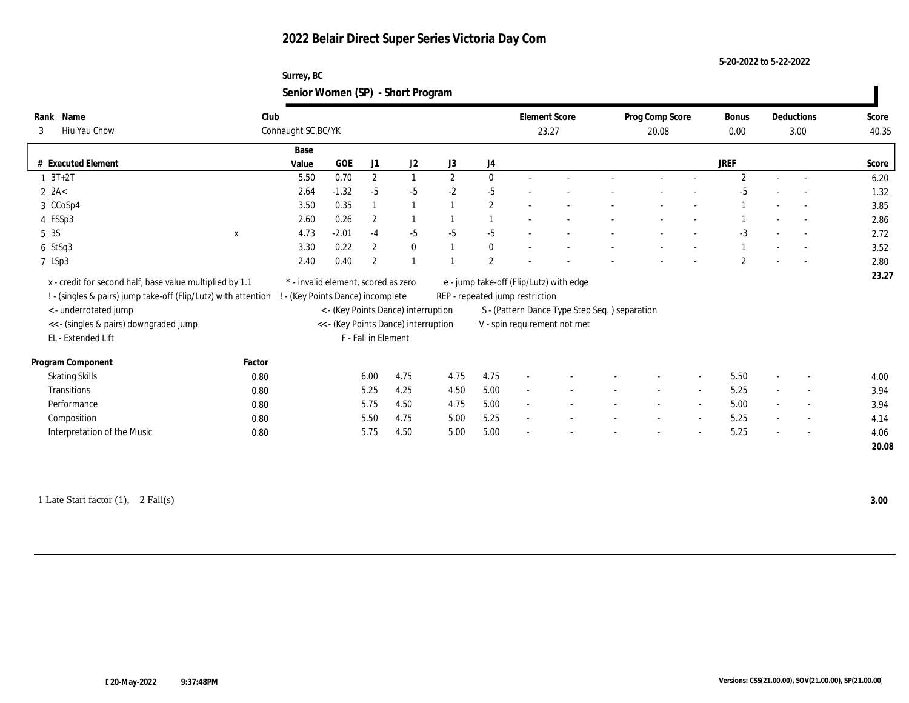#### **5-20-2022 to 5-22-2022**

#### **Surrey, BC Senior Women (SP) - Short Program**

|                                                                |        |                                     |                               |                     |                                      | $\tilde{\phantom{a}}$ |                |                                 |                                               |                          |                          |                |      |                          |       |
|----------------------------------------------------------------|--------|-------------------------------------|-------------------------------|---------------------|--------------------------------------|-----------------------|----------------|---------------------------------|-----------------------------------------------|--------------------------|--------------------------|----------------|------|--------------------------|-------|
| Name<br>Rank                                                   | Club   |                                     |                               |                     |                                      |                       |                |                                 | <b>Element Score</b>                          | Prog Comp Score          |                          | Bonus          |      | Deductions               | Score |
| Hiu Yau Chow<br>3                                              |        | Connaught SC, BC/YK                 |                               |                     |                                      |                       |                |                                 | 23.27                                         | 20.08                    |                          | $0.00\,$       | 3.00 |                          | 40.35 |
|                                                                |        | Base                                |                               |                     |                                      |                       |                |                                 |                                               |                          |                          |                |      |                          |       |
| # Executed Element                                             |        | Value                               | <b>GOE</b>                    | J1                  | J <sub>2</sub>                       | J3                    | J4             |                                 |                                               |                          |                          | <b>JREF</b>    |      |                          | Score |
| $1 3T + 2T$                                                    |        | 5.50                                | 0.70                          | $\mathbf{2}$        | $\mathbf{1}$                         | $\mathbf{2}$          | $\theta$       |                                 |                                               |                          |                          | $\overline{2}$ |      |                          | 6.20  |
| $2$ 2A<                                                        |        | 2.64                                | $-1.32$                       | $-5$                | $-5$                                 | $-2$                  | $-5$           |                                 |                                               |                          |                          | -5             |      |                          | 1.32  |
| 3 CCoSp4                                                       |        | 3.50                                | 0.35                          |                     | 1                                    |                       | $\mathbf{2}$   |                                 |                                               |                          |                          |                |      | $\sim$                   | 3.85  |
| 4 FSSp3                                                        |        | 2.60                                | 0.26                          | $\mathbf{2}$        |                                      |                       |                |                                 |                                               |                          |                          |                |      |                          | 2.86  |
| 5 3S                                                           | X      | 4.73                                | $-2.01$                       | $-4$                | $-5$                                 | $-5$                  | $-5$           |                                 |                                               |                          |                          | $-3$           |      | $\overline{\phantom{a}}$ | 2.72  |
| $6$ StSq3                                                      |        | 3.30                                | 0.22                          | $\mathbf{2}$        | $\bf{0}$                             |                       | $\bf{0}$       |                                 |                                               |                          |                          |                |      |                          | 3.52  |
| 7 LSp3                                                         |        | 2.40                                | 0.40                          | $\overline{c}$      |                                      |                       | $\overline{2}$ |                                 |                                               |                          |                          | $\mathfrak{D}$ |      |                          | 2.80  |
| x - credit for second half, base value multiplied by 1.1       |        | * - invalid element, scored as zero |                               |                     |                                      |                       |                |                                 | e - jump take-off (Flip/Lutz) with edge       |                          |                          |                |      |                          | 23.27 |
| ! - (singles & pairs) jump take-off (Flip/Lutz) with attention |        |                                     | (Key Points Dance) incomplete |                     |                                      |                       |                | REP - repeated jump restriction |                                               |                          |                          |                |      |                          |       |
| < - underrotated jump                                          |        |                                     |                               |                     | < - (Key Points Dance) interruption  |                       |                |                                 | S - (Pattern Dance Type Step Seq.) separation |                          |                          |                |      |                          |       |
| << - (singles & pairs) downgraded jump                         |        |                                     |                               |                     | << - (Key Points Dance) interruption |                       |                |                                 | V - spin requirement not met                  |                          |                          |                |      |                          |       |
| EL - Extended Lift                                             |        |                                     |                               | F - Fall in Element |                                      |                       |                |                                 |                                               |                          |                          |                |      |                          |       |
|                                                                |        |                                     |                               |                     |                                      |                       |                |                                 |                                               |                          |                          |                |      |                          |       |
| Program Component                                              | Factor |                                     |                               |                     |                                      |                       |                |                                 |                                               |                          |                          |                |      |                          |       |
| <b>Skating Skills</b>                                          | 0.80   |                                     |                               | 6.00                | 4.75                                 | 4.75                  | 4.75           |                                 |                                               |                          | $\overline{\phantom{a}}$ | 5.50           |      | $\overline{\phantom{a}}$ | 4.00  |
| Transitions                                                    | 0.80   |                                     |                               | 5.25                | 4.25                                 | 4.50                  | 5.00           |                                 |                                               |                          | $\overline{\phantom{a}}$ | 5.25           |      | $\overline{\phantom{a}}$ | 3.94  |
| Performance                                                    | 0.80   |                                     |                               | 5.75                | 4.50                                 | 4.75                  | 5.00           | $\overline{\phantom{a}}$        |                                               | $\overline{\phantom{a}}$ | $\overline{\phantom{a}}$ | 5.00           |      | $\overline{\phantom{a}}$ | 3.94  |
| Composition                                                    | 0.80   |                                     |                               | 5.50                | 4.75                                 | 5.00                  | 5.25           |                                 |                                               |                          | $\overline{\phantom{a}}$ | 5.25           |      | $\overline{\phantom{a}}$ | 4.14  |
| Interpretation of the Music                                    | 0.80   |                                     |                               | 5.75                | 4.50                                 | 5.00                  | 5.00           |                                 |                                               |                          |                          | 5.25           |      | $\sim$                   | 4.06  |
|                                                                |        |                                     |                               |                     |                                      |                       |                |                                 |                                               |                          |                          |                |      |                          | 20.08 |

1 Late Start factor (1), 2 Fall(s) **3.00**

 $\blacksquare$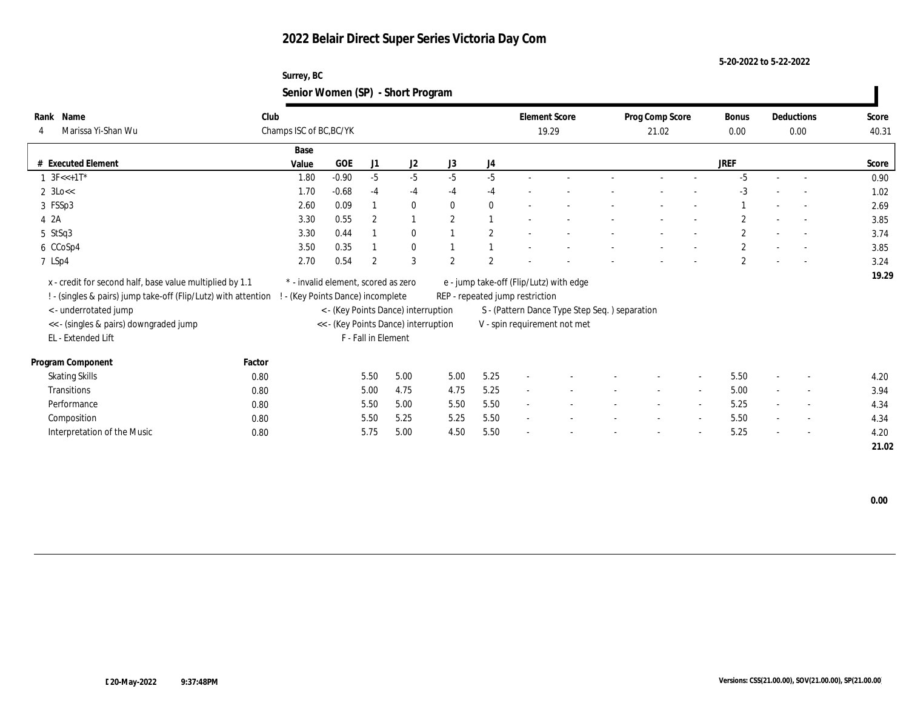#### **5-20-2022 to 5-22-2022**

### **Surrey, BC Senior Women (SP) - Short Program**

| Name<br>Rank<br>Marissa Yi-Shan Wu<br>4                        | Club   | Champs ISC of BC, BC/YK             |            |                     |                                      |                |                | <b>Element Score</b><br>19.29   |                                               |  | Prog Comp Score<br>21.02 |                          |                | Deductions<br>0.00 |                          | Score<br>40.31 |
|----------------------------------------------------------------|--------|-------------------------------------|------------|---------------------|--------------------------------------|----------------|----------------|---------------------------------|-----------------------------------------------|--|--------------------------|--------------------------|----------------|--------------------|--------------------------|----------------|
|                                                                |        | Base                                |            |                     |                                      |                |                |                                 |                                               |  |                          |                          |                |                    |                          |                |
| # Executed Element                                             |        | Value                               | <b>GOE</b> | J1                  | J2                                   | J3             | J4             |                                 |                                               |  |                          |                          | <b>JREF</b>    |                    |                          | Score          |
| $1 \text{ } 3F < +1T^*$                                        |        | 1.80                                | $-0.90$    | $-5$                | $-5$                                 | $-5$           | $-5$           |                                 |                                               |  |                          |                          | $-5$           | $\sim$             | $\sim$                   | 0.90           |
| $2 \text{ } 3 \text{Lo} <<$                                    |        | 1.70                                | $-0.68$    | $-4$                | $-4$                                 | $-4$           | $-4$           |                                 |                                               |  |                          |                          | $-3$           |                    | $\overline{\phantom{a}}$ | 1.02           |
| 3 FSSp3                                                        |        | 2.60                                | 0.09       |                     | $\bf{0}$                             | $\mathbf{0}$   | $\mathbf{0}$   |                                 |                                               |  |                          |                          |                |                    | $\overline{\phantom{a}}$ | 2.69           |
| 4 2A                                                           |        | 3.30                                | 0.55       | $\overline{2}$      |                                      | 2              |                |                                 |                                               |  |                          |                          | 2              |                    | $\overline{\phantom{a}}$ | 3.85           |
| 5 StSq3                                                        |        | 3.30                                | 0.44       |                     | $\bf{0}$                             |                | $\overline{c}$ |                                 |                                               |  |                          |                          | $\mathbf{2}$   |                    | $\overline{\phantom{a}}$ | 3.74           |
| 6 CCoSp4                                                       |        | 3.50                                | 0.35       |                     | $\bf{0}$                             |                |                | ٠                               |                                               |  |                          |                          | $\mathbf{2}$   |                    | $\sim$                   | 3.85           |
| 7 LSp4                                                         |        | 2.70                                | 0.54       | $\overline{2}$      | 3                                    | $\overline{2}$ | 2              |                                 |                                               |  |                          |                          | $\overline{2}$ |                    | $\overline{\phantom{a}}$ | 3.24           |
| x - credit for second half, base value multiplied by 1.1       |        | * - invalid element, scored as zero |            |                     |                                      |                |                |                                 | e - jump take-off (Flip/Lutz) with edge       |  |                          |                          |                |                    |                          | 19.29          |
| ! - (singles & pairs) jump take-off (Flip/Lutz) with attention |        | (Key Points Dance) incomplete       |            |                     |                                      |                |                | REP - repeated jump restriction |                                               |  |                          |                          |                |                    |                          |                |
| < - underrotated jump                                          |        |                                     |            |                     | < - (Key Points Dance) interruption  |                |                |                                 | S - (Pattern Dance Type Step Seq.) separation |  |                          |                          |                |                    |                          |                |
| << - (singles & pairs) downgraded jump                         |        |                                     |            |                     | << - (Key Points Dance) interruption |                |                |                                 | V - spin requirement not met                  |  |                          |                          |                |                    |                          |                |
| EL - Extended Lift                                             |        |                                     |            | F - Fall in Element |                                      |                |                |                                 |                                               |  |                          |                          |                |                    |                          |                |
| Program Component                                              | Factor |                                     |            |                     |                                      |                |                |                                 |                                               |  |                          |                          |                |                    |                          |                |
| <b>Skating Skills</b>                                          | 0.80   |                                     |            | 5.50                | 5.00                                 | 5.00           | 5.25           |                                 |                                               |  |                          |                          | 5.50           |                    | $\overline{\phantom{a}}$ | 4.20           |
| Transitions                                                    | 0.80   |                                     |            | 5.00                | 4.75                                 | 4.75           | 5.25           | $\sim$                          |                                               |  | $\sim$                   | $\sim$                   | 5.00           | $\sim$             | $\overline{\phantom{a}}$ | 3.94           |
| Performance                                                    | 0.80   |                                     |            | 5.50                | 5.00                                 | 5.50           | 5.50           |                                 |                                               |  |                          | $\overline{\phantom{a}}$ | 5.25           | $\sim$             | $\overline{\phantom{a}}$ | 4.34           |
| Composition                                                    | 0.80   |                                     |            | 5.50                | 5.25                                 | 5.25           | 5.50           | $\sim$                          |                                               |  |                          | $\sim$                   | 5.50           | $\sim$             | $\sim$                   | 4.34           |
| Interpretation of the Music                                    | 0.80   |                                     |            | 5.75                | 5.00                                 | 4.50           | 5.50           |                                 |                                               |  | $\overline{\phantom{a}}$ | $\overline{\phantom{a}}$ | 5.25           | $\sim$             | $\overline{\phantom{a}}$ | 4.20           |
|                                                                |        |                                     |            |                     |                                      |                |                |                                 |                                               |  |                          |                          |                |                    |                          | 21.02          |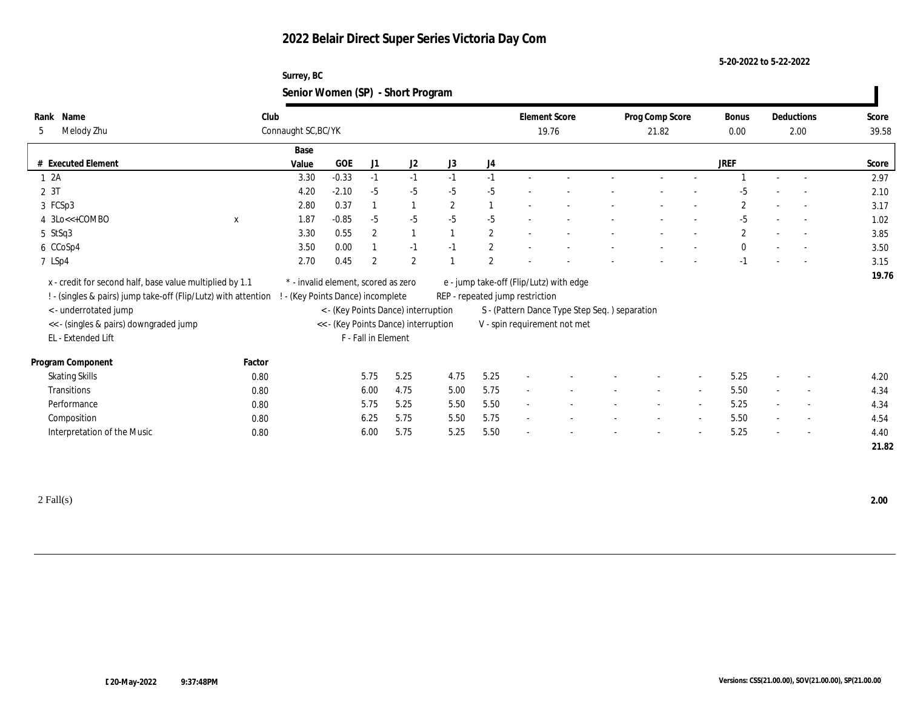### **Surrey, BC Senior Women (SP) - Short Program**

| Name<br>Rank                                                   |             | Club                              |                                     |                     |                                      |              |                |                                 | <b>Element Score</b>                          | Prog Comp Score |                          | Bonus          |                          | Deductions               | Score |
|----------------------------------------------------------------|-------------|-----------------------------------|-------------------------------------|---------------------|--------------------------------------|--------------|----------------|---------------------------------|-----------------------------------------------|-----------------|--------------------------|----------------|--------------------------|--------------------------|-------|
| Melody Zhu<br>5                                                |             | Connaught SC, BC/YK               |                                     |                     |                                      |              |                |                                 | 19.76                                         | 21.82           |                          | 0.00           | 2.00                     |                          | 39.58 |
|                                                                |             | Base                              |                                     |                     |                                      |              |                |                                 |                                               |                 |                          |                |                          |                          |       |
| # Executed Element                                             |             | Value                             | GOE                                 | J1                  | J <sub>2</sub>                       | J3           | J4             |                                 |                                               |                 |                          | <b>JREF</b>    |                          |                          | Score |
| 12A                                                            |             | 3.30                              | $-0.33$                             | $-1$                | $-1$                                 | $-1$         | $-1$           |                                 |                                               |                 |                          |                |                          |                          | 2.97  |
| 2 3T                                                           |             | 4.20                              | $-2.10$                             | $-5$                | $-5$                                 | $-5$         | $-5$           |                                 |                                               |                 |                          |                |                          |                          | 2.10  |
| 3 FCSp3                                                        |             | 2.80                              | 0.37                                | $\mathbf{1}$        | $\mathbf{1}$                         | $\mathbf{2}$ | $\mathbf{1}$   |                                 |                                               |                 |                          | $\overline{2}$ |                          | $\sim$                   | 3.17  |
| 4 3Lo<<+COMBO                                                  | $\mathbf x$ | 1.87                              | $-0.85$                             | $-5$                | $-5$                                 | $-5$         | $-5$           |                                 |                                               |                 |                          | $-5$           |                          |                          | 1.02  |
| 5 StSq3                                                        |             | 3.30                              | 0.55                                | $\overline{2}$      | $\mathbf{1}$                         |              | $\mathbf{2}$   |                                 |                                               |                 |                          | $\mathbf{2}$   |                          |                          | 3.85  |
| 6 CCoSp4                                                       |             | 3.50                              | 0.00                                |                     | $-1$                                 | $-1$         | $\sqrt{2}$     |                                 |                                               |                 |                          | $\mathbf{0}$   |                          |                          | 3.50  |
| 7 LSp4                                                         |             | 2.70                              | 0.45                                | $\overline{2}$      | $\mathbf{2}$                         |              | $\overline{2}$ |                                 |                                               |                 |                          | $-1$           |                          |                          | 3.15  |
| x - credit for second half, base value multiplied by 1.1       |             |                                   | * - invalid element, scored as zero |                     |                                      |              |                |                                 | e - jump take-off (Flip/Lutz) with edge       |                 |                          |                |                          |                          | 19.76 |
| ! - (singles & pairs) jump take-off (Flip/Lutz) with attention |             | ! - (Key Points Dance) incomplete |                                     |                     |                                      |              |                | REP - repeated jump restriction |                                               |                 |                          |                |                          |                          |       |
| < - underrotated jump                                          |             |                                   |                                     |                     | < - (Key Points Dance) interruption  |              |                |                                 | S - (Pattern Dance Type Step Seq.) separation |                 |                          |                |                          |                          |       |
| << - (singles & pairs) downgraded jump                         |             |                                   |                                     |                     | << - (Key Points Dance) interruption |              |                |                                 | V - spin requirement not met                  |                 |                          |                |                          |                          |       |
| EL - Extended Lift                                             |             |                                   |                                     | F - Fall in Element |                                      |              |                |                                 |                                               |                 |                          |                |                          |                          |       |
|                                                                |             |                                   |                                     |                     |                                      |              |                |                                 |                                               |                 |                          |                |                          |                          |       |
| Program Component                                              | Factor      |                                   |                                     |                     |                                      |              |                |                                 |                                               |                 |                          |                |                          |                          |       |
| <b>Skating Skills</b>                                          | 0.80        |                                   |                                     | 5.75                | 5.25                                 | 4.75         | 5.25           |                                 |                                               |                 |                          | 5.25           |                          | $\overline{a}$           | 4.20  |
| Transitions                                                    | 0.80        |                                   |                                     | 6.00                | 4.75                                 | 5.00         | 5.75           |                                 |                                               |                 | $\overline{\phantom{a}}$ | 5.50           | $\sim$                   | $\sim$                   | 4.34  |
| Performance                                                    | 0.80        |                                   |                                     | 5.75                | 5.25                                 | 5.50         | 5.50           | $\sim$                          |                                               |                 |                          | 5.25           |                          | $\overline{\phantom{a}}$ | 4.34  |
| Composition                                                    | 0.80        |                                   |                                     | 6.25                | 5.75                                 | 5.50         | 5.75           | $\sim$                          |                                               |                 | $\overline{a}$           | 5.50           | $\sim$                   | $\overline{\phantom{a}}$ | 4.54  |
| Interpretation of the Music                                    | 0.80        |                                   |                                     | 6.00                | 5.75                                 | 5.25         | 5.50           |                                 |                                               |                 |                          | 5.25           | $\overline{\phantom{a}}$ | $\sim$                   | 4.40  |
|                                                                |             |                                   |                                     |                     |                                      |              |                |                                 |                                               |                 |                          |                |                          |                          | 21.82 |
|                                                                |             |                                   |                                     |                     |                                      |              |                |                                 |                                               |                 |                          |                |                          |                          |       |

2 Fall(s) **2.00**

 $\blacksquare$ 

**5-20-2022 to 5-22-2022**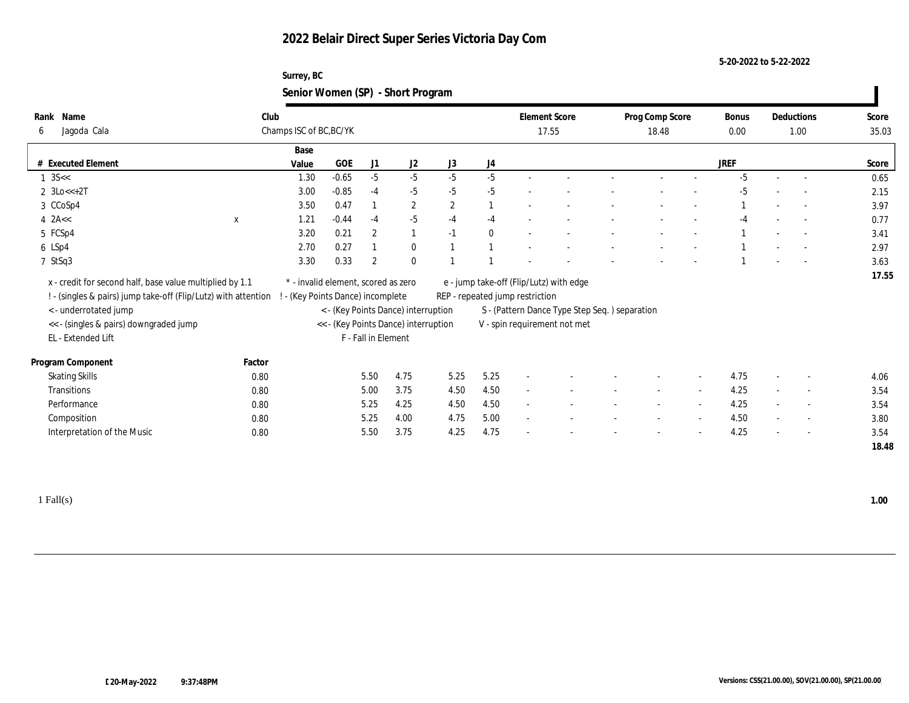#### **Surrey, BC Senior Women (SP) - Short Program**

|                                                                  |             |                                     |                                 |                     |                                      | $\tilde{\phantom{a}}$ |          |                                 |                                               |                 |                          |             |        |                          |       |
|------------------------------------------------------------------|-------------|-------------------------------------|---------------------------------|---------------------|--------------------------------------|-----------------------|----------|---------------------------------|-----------------------------------------------|-----------------|--------------------------|-------------|--------|--------------------------|-------|
| Name<br>Rank                                                     | Club        |                                     |                                 |                     |                                      |                       |          |                                 | <b>Element Score</b>                          | Prog Comp Score |                          | Bonus       |        | Deductions               | Score |
| Jagoda Cala<br>6                                                 |             | Champs ISC of BC, BC/YK             |                                 |                     |                                      |                       | 17.55    |                                 |                                               | 18.48           |                          |             | 1.00   |                          | 35.03 |
|                                                                  |             | Base                                |                                 |                     |                                      |                       |          |                                 |                                               |                 |                          |             |        |                          |       |
| # Executed Element                                               |             | Value                               | GOE                             | J1                  | J2                                   | J3                    | J4       |                                 |                                               |                 |                          | <b>JREF</b> |        |                          | Score |
| $1 \text{ } 3S <<$                                               |             | 1.30                                | $-0.65$                         | $-5$                | $-5$                                 | $-5$                  | $-5$     |                                 |                                               |                 |                          | $-5$        |        | $\sim$                   | 0.65  |
| $2 \text{ } 3 \text{Lo} < +2 \text{T}$                           |             | 3.00                                | $-0.85$                         | $-4$                | $-5$                                 | $-5$                  | $-5$     |                                 |                                               |                 |                          | $-5$        |        | $\overline{\phantom{a}}$ | 2.15  |
| 3 CCoSp4                                                         |             | 3.50                                | 0.47                            | $\overline{1}$      | $\mathbf{2}$                         | $\mathbf{2}$          |          | $\overline{\phantom{a}}$        |                                               |                 |                          |             |        | $\sim$                   | 3.97  |
| $4$ 2A <<                                                        | $\mathbf x$ | 1.21                                | $-0.44$                         | $-4$                | $-5$                                 | $-4$                  | $-4$     |                                 |                                               |                 |                          | -4          |        | $\overline{\phantom{a}}$ | 0.77  |
| 5 FCSp4                                                          |             | 3.20                                | 0.21                            | $\boldsymbol{2}$    | $\mathbf{1}$                         | $-1$                  | $\bf{0}$ |                                 |                                               |                 |                          |             |        |                          | 3.41  |
| 6 LSp4                                                           |             | 2.70                                | 0.27                            |                     | $\bf{0}$                             |                       |          |                                 |                                               |                 |                          |             |        |                          | 2.97  |
| 7 StSq3                                                          |             | 3.30                                | 0.33                            | $\boldsymbol{2}$    | $\bf{0}$                             |                       |          |                                 |                                               |                 |                          |             |        |                          | 3.63  |
| x - credit for second half, base value multiplied by 1.1         |             | * - invalid element, scored as zero |                                 |                     |                                      |                       |          |                                 | e - jump take-off (Flip/Lutz) with edge       |                 |                          |             |        |                          | 17.55 |
| ! - (singles & pairs) jump take-off (Flip/Lutz) with attention ! |             |                                     | - (Key Points Dance) incomplete |                     |                                      |                       |          | REP - repeated jump restriction |                                               |                 |                          |             |        |                          |       |
| <- underrotated jump                                             |             |                                     |                                 |                     | < - (Key Points Dance) interruption  |                       |          |                                 | S - (Pattern Dance Type Step Seq.) separation |                 |                          |             |        |                          |       |
| << - (singles & pairs) downgraded jump                           |             |                                     |                                 |                     | << - (Key Points Dance) interruption |                       |          |                                 | V - spin requirement not met                  |                 |                          |             |        |                          |       |
| EL - Extended Lift                                               |             |                                     |                                 | F - Fall in Element |                                      |                       |          |                                 |                                               |                 |                          |             |        |                          |       |
|                                                                  |             |                                     |                                 |                     |                                      |                       |          |                                 |                                               |                 |                          |             |        |                          |       |
| Program Component                                                | Factor      |                                     |                                 |                     |                                      |                       |          |                                 |                                               |                 |                          |             |        |                          |       |
| <b>Skating Skills</b>                                            | 0.80        |                                     |                                 | 5.50                | 4.75                                 | 5.25                  | 5.25     |                                 |                                               |                 |                          | 4.75        |        | $\overline{\phantom{a}}$ | 4.06  |
| Transitions                                                      | 0.80        |                                     |                                 | 5.00                | 3.75                                 | 4.50                  | 4.50     | $\sim$                          |                                               | $\sim$          | $\sim$                   | 4.25        | $\sim$ | $\sim$                   | 3.54  |
| Performance                                                      | 0.80        |                                     |                                 | 5.25                | 4.25                                 | 4.50                  | 4.50     | $\sim$                          |                                               |                 |                          | 4.25        |        | $\overline{\phantom{a}}$ | 3.54  |
| Composition                                                      | 0.80        |                                     |                                 | 5.25                | 4.00                                 | 4.75                  | 5.00     | $\sim$                          |                                               | $\sim$          | $\sim$                   | 4.50        |        | $\sim$                   | 3.80  |
| Interpretation of the Music                                      | 0.80        |                                     |                                 | 5.50                | 3.75                                 | 4.25                  | 4.75     |                                 |                                               |                 | $\overline{\phantom{a}}$ | 4.25        | $\sim$ | $\overline{\phantom{a}}$ | 3.54  |
|                                                                  |             |                                     |                                 |                     |                                      |                       |          |                                 |                                               |                 |                          |             |        |                          | 18.48 |
|                                                                  |             |                                     |                                 |                     |                                      |                       |          |                                 |                                               |                 |                          |             |        |                          |       |

1 Fall(s) **1.00**

 $\blacksquare$ 

**5-20-2022 to 5-22-2022**